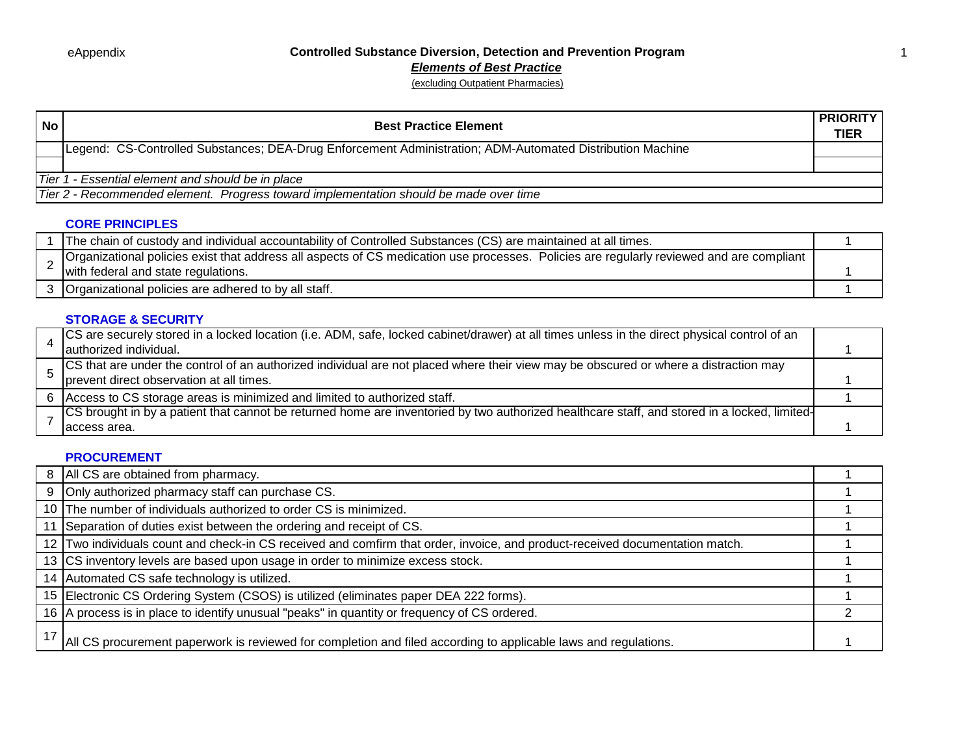*Elements of Best Practice*

(excluding Outpatient Pharmacies)

| <b>Best Practice Element</b>                                                                              | <b>PRIORITY</b><br>TIER |  |
|-----------------------------------------------------------------------------------------------------------|-------------------------|--|
| Legend: CS-Controlled Substances; DEA-Drug Enforcement Administration; ADM-Automated Distribution Machine |                         |  |
|                                                                                                           |                         |  |
| Tier 1 - Essential element and should be in place                                                         |                         |  |
| Tier 2 - Recommended element. Progress toward implementation should be made over time                     |                         |  |
|                                                                                                           |                         |  |

## **CORE PRINCIPLES**

| The chain of custody and individual accountability of Controlled Substances (CS) are maintained at all times.                            |  |
|------------------------------------------------------------------------------------------------------------------------------------------|--|
| Organizational policies exist that address all aspects of CS medication use processes. Policies are regularly reviewed and are compliant |  |
| with federal and state regulations.                                                                                                      |  |
| 3 Organizational policies are adhered to by all staff.                                                                                   |  |

## **STORAGE & SECURITY**

| CS are securely stored in a locked location (i.e. ADM, safe, locked cabinet/drawer) at all times unless in the direct physical control of an  |  |
|-----------------------------------------------------------------------------------------------------------------------------------------------|--|
| authorized individual.                                                                                                                        |  |
| Solucion that are under the control of an authorized individual are not placed where their view may be obscured or where a distraction may    |  |
| prevent direct observation at all times.                                                                                                      |  |
| 6 Access to CS storage areas is minimized and limited to authorized staff.                                                                    |  |
| [CS brought in by a patient that cannot be returned home are inventoried by two authorized healthcare staff, and stored in a locked, limited- |  |
| Taccess area.                                                                                                                                 |  |

#### **PROCUREMENT**

| 8 | All CS are obtained from pharmacy.                                                                                           |  |
|---|------------------------------------------------------------------------------------------------------------------------------|--|
| 9 | Only authorized pharmacy staff can purchase CS.                                                                              |  |
|   | 10 The number of individuals authorized to order CS is minimized.                                                            |  |
|   | 11 Separation of duties exist between the ordering and receipt of CS.                                                        |  |
|   | 12 Two individuals count and check-in CS received and comfirm that order, invoice, and product-received documentation match. |  |
|   | 13 CS inventory levels are based upon usage in order to minimize excess stock.                                               |  |
|   | 14 Automated CS safe technology is utilized.                                                                                 |  |
|   | 15 Electronic CS Ordering System (CSOS) is utilized (eliminates paper DEA 222 forms).                                        |  |
|   | 16 A process is in place to identify unusual "peaks" in quantity or frequency of CS ordered.                                 |  |
|   | All CS procurement paperwork is reviewed for completion and filed according to applicable laws and regulations.              |  |

1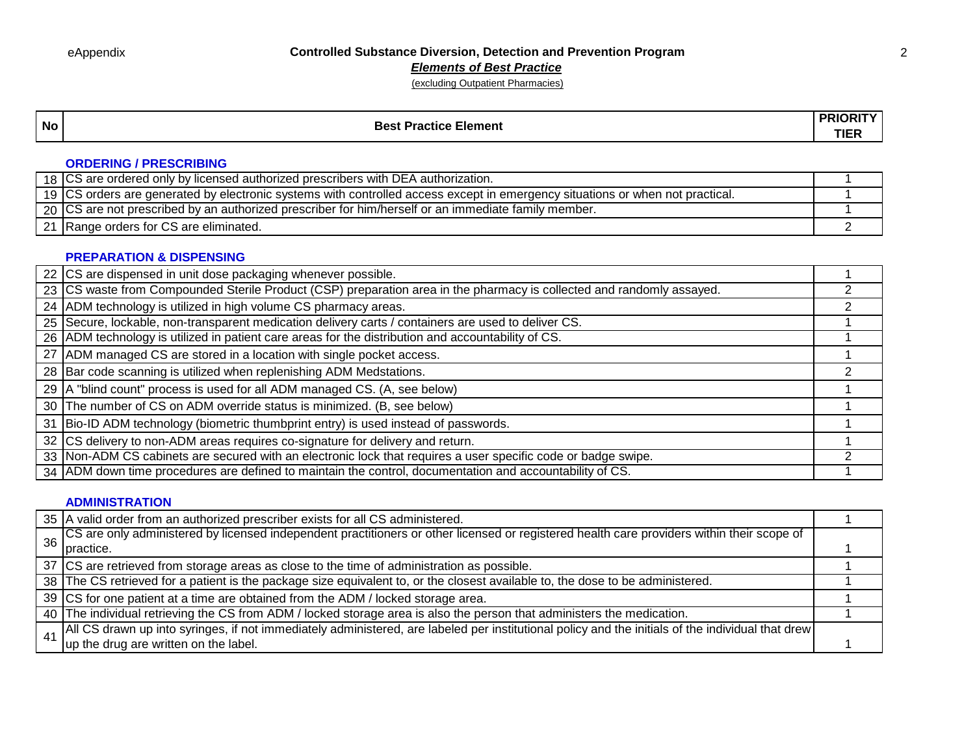*Elements of Best Practice*

(excluding Outpatient Pharmacies)

# **No Best Practice Element PRIORITY PRIORITY**

**TIER**

## **ORDERING / PRESCRIBING**

| 18 ICS are ordered only by licensed authorized prescribers with DEA authorization.                                            |  |
|-------------------------------------------------------------------------------------------------------------------------------|--|
| 19 CS orders are generated by electronic systems with controlled access except in emergency situations or when not practical. |  |
| 20 CS are not prescribed by an authorized prescriber for him/herself or an immediate family member.                           |  |
| 21 Range orders for CS are eliminated.                                                                                        |  |

#### **PREPARATION & DISPENSING**

| 22 CS are dispensed in unit dose packaging whenever possible.                                                         |  |
|-----------------------------------------------------------------------------------------------------------------------|--|
| 23 CS waste from Compounded Sterile Product (CSP) preparation area in the pharmacy is collected and randomly assayed. |  |
| 24 ADM technology is utilized in high volume CS pharmacy areas.                                                       |  |
| 25 Secure, lockable, non-transparent medication delivery carts / containers are used to deliver CS.                   |  |
| 26 ADM technology is utilized in patient care areas for the distribution and accountability of CS.                    |  |
| 27 ADM managed CS are stored in a location with single pocket access.                                                 |  |
| 28 Bar code scanning is utilized when replenishing ADM Medstations.                                                   |  |
| 29   A "blind count" process is used for all ADM managed CS. (A, see below)                                           |  |
| 30 The number of CS on ADM override status is minimized. (B, see below)                                               |  |
| 31 Bio-ID ADM technology (biometric thumbprint entry) is used instead of passwords.                                   |  |
| 32 CS delivery to non-ADM areas requires co-signature for delivery and return.                                        |  |
| 33 Non-ADM CS cabinets are secured with an electronic lock that requires a user specific code or badge swipe.         |  |
| 34 ADM down time procedures are defined to maintain the control, documentation and accountability of CS.              |  |

#### **ADMINISTRATION**

|            | 35 A valid order from an authorized prescriber exists for all CS administered.                                                                    |  |
|------------|---------------------------------------------------------------------------------------------------------------------------------------------------|--|
|            | CS are only administered by licensed independent practitioners or other licensed or registered health care providers within their scope of        |  |
|            | I practice.                                                                                                                                       |  |
|            | 37 CS are retrieved from storage areas as close to the time of administration as possible.                                                        |  |
|            | 38 The CS retrieved for a patient is the package size equivalent to, or the closest available to, the dose to be administered.                    |  |
|            | 39 CS for one patient at a time are obtained from the ADM / locked storage area.                                                                  |  |
|            | 40 The individual retrieving the CS from ADM / locked storage area is also the person that administers the medication.                            |  |
| $\Delta$ 1 | All CS drawn up into syringes, if not immediately administered, are labeled per institutional policy and the initials of the individual that drew |  |
|            | up the drug are written on the label.                                                                                                             |  |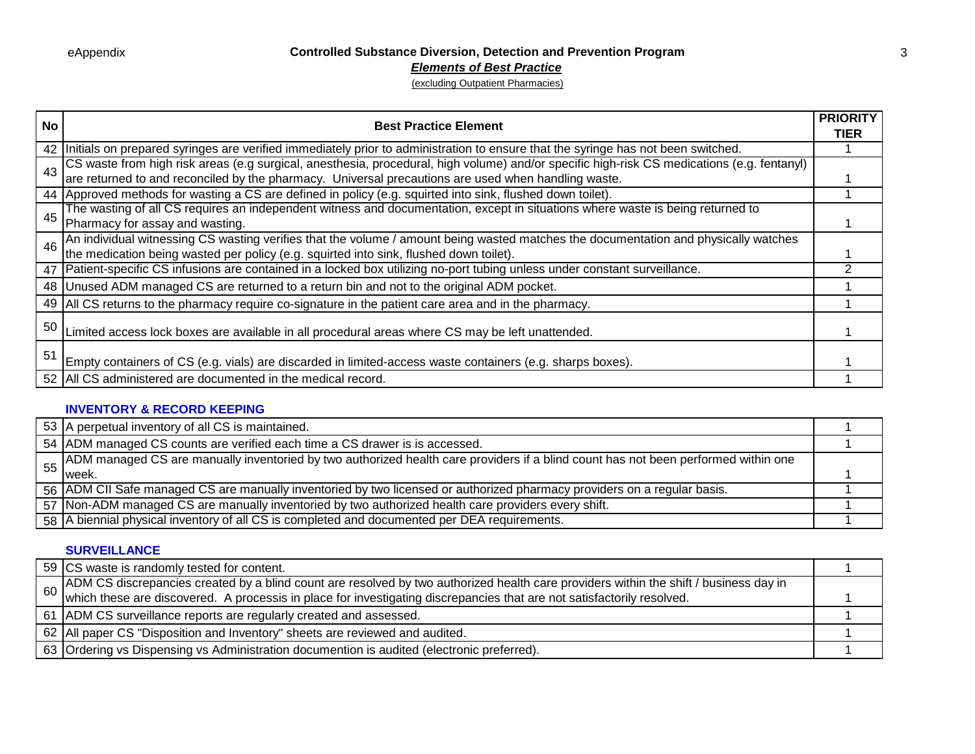#### *Elements of Best Practice*

(excluding Outpatient Pharmacies)

| <b>No</b> | <b>Best Practice Element</b>                                                                                                                                                                                                   | <b>PRIORITY</b> |
|-----------|--------------------------------------------------------------------------------------------------------------------------------------------------------------------------------------------------------------------------------|-----------------|
|           |                                                                                                                                                                                                                                | TIER            |
|           | 42   Initials on prepared syringes are verified immediately prior to administration to ensure that the syringe has not been switched.                                                                                          |                 |
| 43        | CS waste from high risk areas (e.g surgical, anesthesia, procedural, high volume) and/or specific high-risk CS medications (e.g. fentanyl) are returned to and reconciled by the pharmacy. Universal precautions are used when |                 |
|           |                                                                                                                                                                                                                                |                 |
|           | 44 Approved methods for wasting a CS are defined in policy (e.g. squirted into sink, flushed down toilet).                                                                                                                     |                 |
| 45        | The wasting of all CS requires an independent witness and documentation, except in situations where waste is being returned to                                                                                                 |                 |
|           | Pharmacy for assay and wasting.                                                                                                                                                                                                |                 |
| 46        | An individual witnessing CS wasting verifies that the volume / amount being wasted matches the documentation and physically watches the medication being wasted per policy (e.g. squirted into sink, flushed down toilet).     |                 |
|           |                                                                                                                                                                                                                                |                 |
|           | 47   Patient-specific CS infusions are contained in a locked box utilizing no-port tubing unless under constant surveillance.                                                                                                  |                 |
|           | 48 Unused ADM managed CS are returned to a return bin and not to the original ADM pocket.                                                                                                                                      |                 |
|           | 49 All CS returns to the pharmacy require co-signature in the patient care area and in the pharmacy.                                                                                                                           |                 |
| 50        | Limited access lock boxes are available in all procedural areas where CS may be left unattended.                                                                                                                               |                 |
|           |                                                                                                                                                                                                                                |                 |
| 51        | Empty containers of CS (e.g. vials) are discarded in limited-access waste containers (e.g. sharps boxes).                                                                                                                      |                 |
|           |                                                                                                                                                                                                                                |                 |
|           | 52 All CS administered are documented in the medical record.                                                                                                                                                                   |                 |

## **INVENTORY & RECORD KEEPING**

| 53 A perpetual inventory of all CS is maintained.                                                                                  |  |
|------------------------------------------------------------------------------------------------------------------------------------|--|
| 54 ADM managed CS counts are verified each time a CS drawer is is accessed.                                                        |  |
| ADM managed CS are manually inventoried by two authorized health care providers if a blind count has not been performed within one |  |
| week.                                                                                                                              |  |
| 56 ADM CII Safe managed CS are manually inventoried by two licensed or authorized pharmacy providers on a regular basis.           |  |
| 57 Non-ADM managed CS are manually inventoried by two authorized health care providers every shift.                                |  |
| 58 A biennial physical inventory of all CS is completed and documented per DEA requirements.                                       |  |

#### **SURVEILLANCE**

| 59 CS waste is randomly tested for content.                                                                                                                                                                                       |  |
|-----------------------------------------------------------------------------------------------------------------------------------------------------------------------------------------------------------------------------------|--|
|                                                                                                                                                                                                                                   |  |
| ADM CS discrepancies created by a blind count are resolved by two authorized health care providers within the shift / business day in<br>Which these are discovered. A processis in place for investigating discrepancies that ar |  |
| 61 ADM CS surveillance reports are regularly created and assessed.                                                                                                                                                                |  |
| 62 All paper CS "Disposition and Inventory" sheets are reviewed and audited.                                                                                                                                                      |  |
| 63 Ordering vs Dispensing vs Administration documention is audited (electronic preferred).                                                                                                                                        |  |